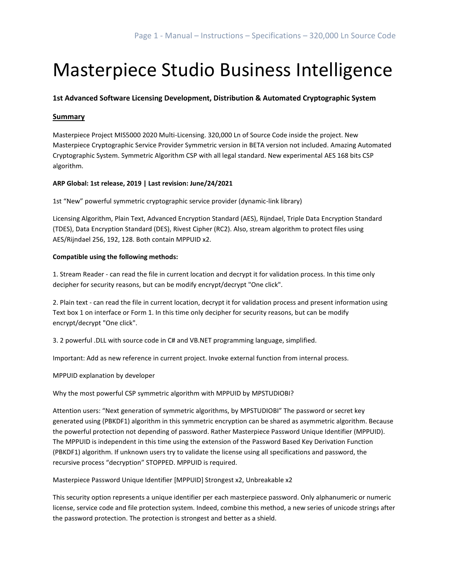# Masterpiece Studio Business Intelligence

# **1st Advanced Software Licensing Development, Distribution & Automated Cryptographic System**

# **Summary**

Masterpiece Project MIS5000 2020 Multi-Licensing. 320,000 Ln of Source Code inside the project. New Masterpiece Cryptographic Service Provider Symmetric version in BETA version not included. Amazing Automated Cryptographic System. Symmetric Algorithm CSP with all legal standard. New experimental AES 168 bits CSP algorithm.

# **ARP Global: 1st release, 2019 | Last revision: June/24/2021**

1st "New" powerful symmetric cryptographic service provider (dynamic-link library)

Licensing Algorithm, Plain Text, Advanced Encryption Standard (AES), Rijndael, Triple Data Encryption Standard (TDES), Data Encryption Standard (DES), Rivest Cipher (RC2). Also, stream algorithm to protect files using AES/Rijndael 256, 192, 128. Both contain MPPUID x2.

# **Compatible using the following methods:**

1. Stream Reader - can read the file in current location and decrypt it for validation process. In this time only decipher for security reasons, but can be modify encrypt/decrypt "One click".

2. Plain text - can read the file in current location, decrypt it for validation process and present information using Text box 1 on interface or Form 1. In this time only decipher for security reasons, but can be modify encrypt/decrypt "One click".

3. 2 powerful .DLL with source code in C# and VB.NET programming language, simplified.

Important: Add as new reference in current project. Invoke external function from internal process.

MPPUID explanation by developer

Why the most powerful CSP symmetric algorithm with MPPUID by MPSTUDIOBI?

Attention users: "Next generation of symmetric algorithms, by MPSTUDIOBI" The password or secret key generated using (PBKDF1) algorithm in this symmetric encryption can be shared as asymmetric algorithm. Because the powerful protection not depending of password. Rather Masterpiece Password Unique Identifier (MPPUID). The MPPUID is independent in this time using the extension of the Password Based Key Derivation Function (PBKDF1) algorithm. If unknown users try to validate the license using all specifications and password, the recursive process "decryption" STOPPED. MPPUID is required.

Masterpiece Password Unique Identifier [MPPUID] Strongest x2, Unbreakable x2

This security option represents a unique identifier per each masterpiece password. Only alphanumeric or numeric license, service code and file protection system. Indeed, combine this method, a new series of unicode strings after the password protection. The protection is strongest and better as a shield.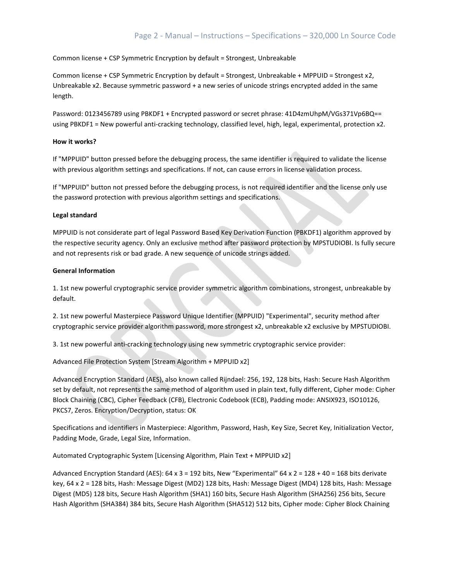Common license + CSP Symmetric Encryption by default = Strongest, Unbreakable

Common license + CSP Symmetric Encryption by default = Strongest, Unbreakable + MPPUID = Strongest x2, Unbreakable x2. Because symmetric password + a new series of unicode strings encrypted added in the same length.

Password: 0123456789 using PBKDF1 + Encrypted password or secret phrase: 41D4zmUhpM/VGs371Vp6BQ== using PBKDF1 = New powerful anti-cracking technology, classified level, high, legal, experimental, protection x2.

## **How it works?**

If "MPPUID" button pressed before the debugging process, the same identifier is required to validate the license with previous algorithm settings and specifications. If not, can cause errors in license validation process.

If "MPPUID" button not pressed before the debugging process, is not required identifier and the license only use the password protection with previous algorithm settings and specifications.

## **Legal standard**

MPPUID is not considerate part of legal Password Based Key Derivation Function (PBKDF1) algorithm approved by the respective security agency. Only an exclusive method after password protection by MPSTUDIOBI. Is fully secure and not represents risk or bad grade. A new sequence of unicode strings added.

## **General Information**

1. 1st new powerful cryptographic service provider symmetric algorithm combinations, strongest, unbreakable by default.

2. 1st new powerful Masterpiece Password Unique Identifier (MPPUID) "Experimental", security method after cryptographic service provider algorithm password, more strongest x2, unbreakable x2 exclusive by MPSTUDIOBI.

3. 1st new powerful anti-cracking technology using new symmetric cryptographic service provider:

Advanced File Protection System [Stream Algorithm + MPPUID x2]

Advanced Encryption Standard (AES), also known called Rijndael: 256, 192, 128 bits, Hash: Secure Hash Algorithm set by default, not represents the same method of algorithm used in plain text, fully different, Cipher mode: Cipher Block Chaining (CBC), Cipher Feedback (CFB), Electronic Codebook (ECB), Padding mode: ANSIX923, ISO10126, PKCS7, Zeros. Encryption/Decryption, status: OK

Specifications and identifiers in Masterpiece: Algorithm, Password, Hash, Key Size, Secret Key, Initialization Vector, Padding Mode, Grade, Legal Size, Information.

Automated Cryptographic System [Licensing Algorithm, Plain Text + MPPUID x2]

Advanced Encryption Standard (AES): 64 x 3 = 192 bits, New "Experimental" 64 x 2 = 128 + 40 = 168 bits derivate key, 64 x 2 = 128 bits, Hash: Message Digest (MD2) 128 bits, Hash: Message Digest (MD4) 128 bits, Hash: Message Digest (MD5) 128 bits, Secure Hash Algorithm (SHA1) 160 bits, Secure Hash Algorithm (SHA256) 256 bits, Secure Hash Algorithm (SHA384) 384 bits, Secure Hash Algorithm (SHA512) 512 bits, Cipher mode: Cipher Block Chaining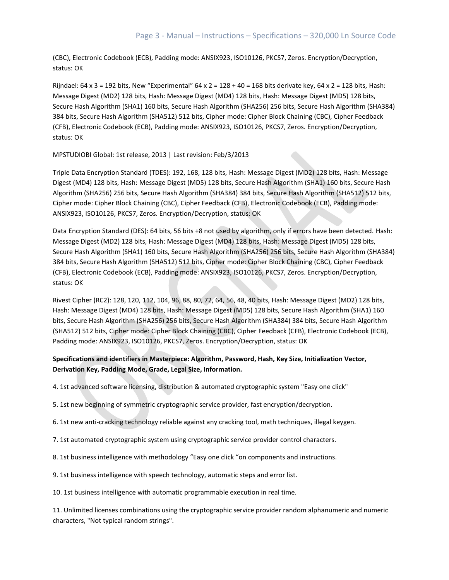(CBC), Electronic Codebook (ECB), Padding mode: ANSIX923, ISO10126, PKCS7, Zeros. Encryption/Decryption, status: OK

Rijndael: 64 x 3 = 192 bits, New "Experimental" 64 x 2 = 128 + 40 = 168 bits derivate key, 64 x 2 = 128 bits, Hash: Message Digest (MD2) 128 bits, Hash: Message Digest (MD4) 128 bits, Hash: Message Digest (MD5) 128 bits, Secure Hash Algorithm (SHA1) 160 bits, Secure Hash Algorithm (SHA256) 256 bits, Secure Hash Algorithm (SHA384) 384 bits, Secure Hash Algorithm (SHA512) 512 bits, Cipher mode: Cipher Block Chaining (CBC), Cipher Feedback (CFB), Electronic Codebook (ECB), Padding mode: ANSIX923, ISO10126, PKCS7, Zeros. Encryption/Decryption, status: OK

## MPSTUDIOBI Global: 1st release, 2013 | Last revision: Feb/3/2013

Triple Data Encryption Standard (TDES): 192, 168, 128 bits, Hash: Message Digest (MD2) 128 bits, Hash: Message Digest (MD4) 128 bits, Hash: Message Digest (MD5) 128 bits, Secure Hash Algorithm (SHA1) 160 bits, Secure Hash Algorithm (SHA256) 256 bits, Secure Hash Algorithm (SHA384) 384 bits, Secure Hash Algorithm (SHA512) 512 bits, Cipher mode: Cipher Block Chaining (CBC), Cipher Feedback (CFB), Electronic Codebook (ECB), Padding mode: ANSIX923, ISO10126, PKCS7, Zeros. Encryption/Decryption, status: OK

Data Encryption Standard (DES): 64 bits, 56 bits +8 not used by algorithm, only if errors have been detected. Hash: Message Digest (MD2) 128 bits, Hash: Message Digest (MD4) 128 bits, Hash: Message Digest (MD5) 128 bits, Secure Hash Algorithm (SHA1) 160 bits, Secure Hash Algorithm (SHA256) 256 bits, Secure Hash Algorithm (SHA384) 384 bits, Secure Hash Algorithm (SHA512) 512 bits, Cipher mode: Cipher Block Chaining (CBC), Cipher Feedback (CFB), Electronic Codebook (ECB), Padding mode: ANSIX923, ISO10126, PKCS7, Zeros. Encryption/Decryption, status: OK

Rivest Cipher (RC2): 128, 120, 112, 104, 96, 88, 80, 72, 64, 56, 48, 40 bits, Hash: Message Digest (MD2) 128 bits, Hash: Message Digest (MD4) 128 bits, Hash: Message Digest (MD5) 128 bits, Secure Hash Algorithm (SHA1) 160 bits, Secure Hash Algorithm (SHA256) 256 bits, Secure Hash Algorithm (SHA384) 384 bits, Secure Hash Algorithm (SHA512) 512 bits, Cipher mode: Cipher Block Chaining (CBC), Cipher Feedback (CFB), Electronic Codebook (ECB), Padding mode: ANSIX923, ISO10126, PKCS7, Zeros. Encryption/Decryption, status: OK

# **Specifications and identifiers in Masterpiece: Algorithm, Password, Hash, Key Size, Initialization Vector, Derivation Key, Padding Mode, Grade, Legal Size, Information.**

4. 1st advanced software licensing, distribution & automated cryptographic system "Easy one click"

- 5. 1st new beginning of symmetric cryptographic service provider, fast encryption/decryption.
- 6. 1st new anti-cracking technology reliable against any cracking tool, math techniques, illegal keygen.
- 7. 1st automated cryptographic system using cryptographic service provider control characters.
- 8. 1st business intelligence with methodology "Easy one click "on components and instructions.
- 9. 1st business intelligence with speech technology, automatic steps and error list.

10. 1st business intelligence with automatic programmable execution in real time.

11. Unlimited licenses combinations using the cryptographic service provider random alphanumeric and numeric characters, "Not typical random strings".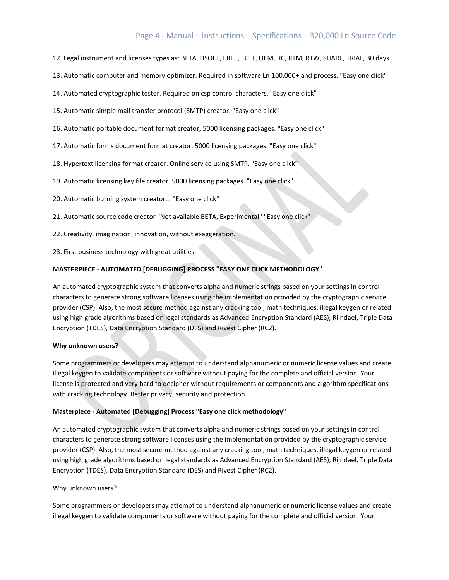# Page 4 - Manual – Instructions – Specifications – 320,000 Ln Source Code

- 12. Legal instrument and licenses types as: BETA, DSOFT, FREE, FULL, OEM, RC, RTM, RTW, SHARE, TRIAL, 30 days.
- 13. Automatic computer and memory optimizer. Required in software Ln 100,000+ and process. "Easy one click"
- 14. Automated cryptographic tester. Required on csp control characters. "Easy one click"
- 15. Automatic simple mail transfer protocol (SMTP) creator. "Easy one click"
- 16. Automatic portable document format creator, 5000 licensing packages. "Easy one click"
- 17. Automatic forms document format creator. 5000 licensing packages. "Easy one click"
- 18. Hypertext licensing format creator. Online service using SMTP. "Easy one click"
- 19. Automatic licensing key file creator. 5000 licensing packages. "Easy one click"
- 20. Automatic burning system creator... "Easy one click"
- 21. Automatic source code creator "Not available BETA, Experimental" "Easy one click"
- 22. Creativity, imagination, innovation, without exaggeration.
- 23. First business technology with great utilities.

## **MASTERPIECE - AUTOMATED [DEBUGGING] PROCESS "EASY ONE CLICK METHODOLOGY"**

An automated cryptographic system that converts alpha and numeric strings based on your settings in control characters to generate strong software licenses using the implementation provided by the cryptographic service provider (CSP). Also, the most secure method against any cracking tool, math techniques, illegal keygen or related using high grade algorithms based on legal standards as Advanced Encryption Standard (AES), Rijndael, Triple Data Encryption (TDES), Data Encryption Standard (DES) and Rivest Cipher (RC2).

## **Why unknown users?**

Some programmers or developers may attempt to understand alphanumeric or numeric license values and create illegal keygen to validate components or software without paying for the complete and official version. Your license is protected and very hard to decipher without requirements or components and algorithm specifications with cracking technology. Better privacy, security and protection.

## **Masterpiece - Automated [Debugging] Process "Easy one click methodology"**

An automated cryptographic system that converts alpha and numeric strings based on your settings in control characters to generate strong software licenses using the implementation provided by the cryptographic service provider (CSP). Also, the most secure method against any cracking tool, math techniques, illegal keygen or related using high grade algorithms based on legal standards as Advanced Encryption Standard (AES), Rijndael, Triple Data Encryption (TDES), Data Encryption Standard (DES) and Rivest Cipher (RC2).

## Why unknown users?

Some programmers or developers may attempt to understand alphanumeric or numeric license values and create illegal keygen to validate components or software without paying for the complete and official version. Your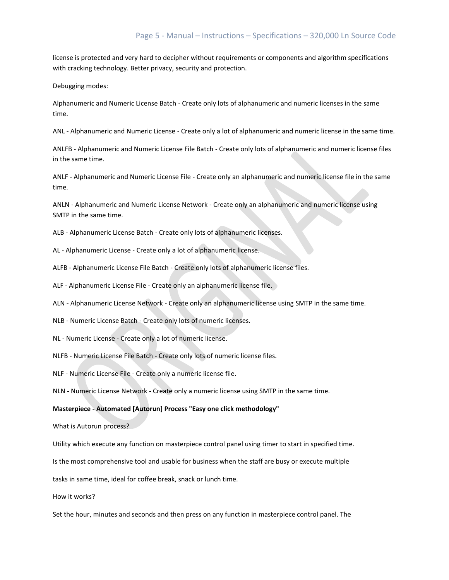license is protected and very hard to decipher without requirements or components and algorithm specifications with cracking technology. Better privacy, security and protection.

Debugging modes:

Alphanumeric and Numeric License Batch - Create only lots of alphanumeric and numeric licenses in the same time.

ANL - Alphanumeric and Numeric License - Create only a lot of alphanumeric and numeric license in the same time.

ANLFB - Alphanumeric and Numeric License File Batch - Create only lots of alphanumeric and numeric license files in the same time.

ANLF - Alphanumeric and Numeric License File - Create only an alphanumeric and numeric license file in the same time.

ANLN - Alphanumeric and Numeric License Network - Create only an alphanumeric and numeric license using SMTP in the same time.

ALB - Alphanumeric License Batch - Create only lots of alphanumeric licenses.

AL - Alphanumeric License - Create only a lot of alphanumeric license.

ALFB - Alphanumeric License File Batch - Create only lots of alphanumeric license files.

ALF - Alphanumeric License File - Create only an alphanumeric license file.

ALN - Alphanumeric License Network - Create only an alphanumeric license using SMTP in the same time.

NLB - Numeric License Batch - Create only lots of numeric licenses.

NL - Numeric License - Create only a lot of numeric license.

NLFB - Numeric License File Batch - Create only lots of numeric license files.

NLF - Numeric License File - Create only a numeric license file.

NLN - Numeric License Network - Create only a numeric license using SMTP in the same time.

#### **Masterpiece - Automated [Autorun] Process "Easy one click methodology"**

What is Autorun process?

Utility which execute any function on masterpiece control panel using timer to start in specified time.

Is the most comprehensive tool and usable for business when the staff are busy or execute multiple

tasks in same time, ideal for coffee break, snack or lunch time.

How it works?

Set the hour, minutes and seconds and then press on any function in masterpiece control panel. The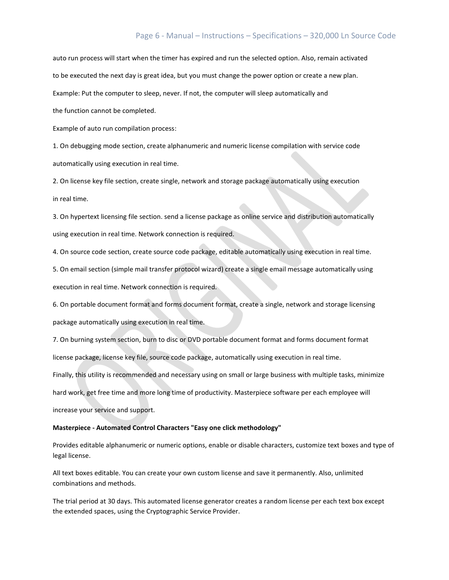# Page 6 - Manual – Instructions – Specifications – 320,000 Ln Source Code

auto run process will start when the timer has expired and run the selected option. Also, remain activated to be executed the next day is great idea, but you must change the power option or create a new plan. Example: Put the computer to sleep, never. If not, the computer will sleep automatically and

the function cannot be completed.

Example of auto run compilation process:

1. On debugging mode section, create alphanumeric and numeric license compilation with service code automatically using execution in real time.

2. On license key file section, create single, network and storage package automatically using execution in real time.

3. On hypertext licensing file section. send a license package as online service and distribution automatically using execution in real time. Network connection is required.

4. On source code section, create source code package, editable automatically using execution in real time.

5. On email section (simple mail transfer protocol wizard) create a single email message automatically using execution in real time. Network connection is required.

6. On portable document format and forms document format, create a single, network and storage licensing package automatically using execution in real time.

7. On burning system section, burn to disc or DVD portable document format and forms document format license package, license key file, source code package, automatically using execution in real time. Finally, this utility is recommended and necessary using on small or large business with multiple tasks, minimize hard work, get free time and more long time of productivity. Masterpiece software per each employee will increase your service and support.

## **Masterpiece - Automated Control Characters "Easy one click methodology"**

Provides editable alphanumeric or numeric options, enable or disable characters, customize text boxes and type of legal license.

All text boxes editable. You can create your own custom license and save it permanently. Also, unlimited combinations and methods.

The trial period at 30 days. This automated license generator creates a random license per each text box except the extended spaces, using the Cryptographic Service Provider.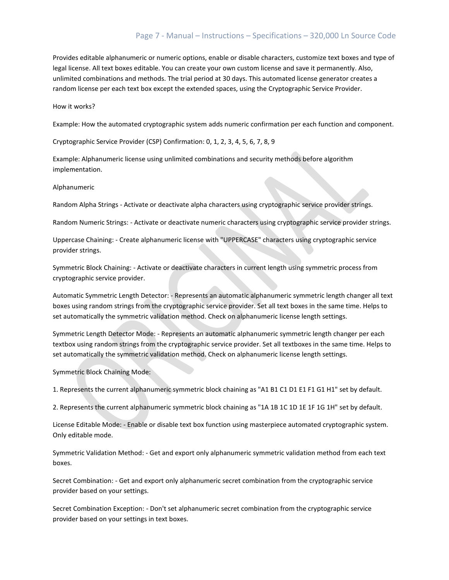# Page 7 - Manual – Instructions – Specifications – 320,000 Ln Source Code

Provides editable alphanumeric or numeric options, enable or disable characters, customize text boxes and type of legal license. All text boxes editable. You can create your own custom license and save it permanently. Also, unlimited combinations and methods. The trial period at 30 days. This automated license generator creates a random license per each text box except the extended spaces, using the Cryptographic Service Provider.

How it works?

Example: How the automated cryptographic system adds numeric confirmation per each function and component.

Cryptographic Service Provider (CSP) Confirmation: 0, 1, 2, 3, 4, 5, 6, 7, 8, 9

Example: Alphanumeric license using unlimited combinations and security methods before algorithm implementation.

Alphanumeric

Random Alpha Strings - Activate or deactivate alpha characters using cryptographic service provider strings.

Random Numeric Strings: - Activate or deactivate numeric characters using cryptographic service provider strings.

Uppercase Chaining: - Create alphanumeric license with "UPPERCASE" characters using cryptographic service provider strings.

Symmetric Block Chaining: - Activate or deactivate characters in current length using symmetric process from cryptographic service provider.

Automatic Symmetric Length Detector: - Represents an automatic alphanumeric symmetric length changer all text boxes using random strings from the cryptographic service provider. Set all text boxes in the same time. Helps to set automatically the symmetric validation method. Check on alphanumeric license length settings.

Symmetric Length Detector Mode: - Represents an automatic alphanumeric symmetric length changer per each textbox using random strings from the cryptographic service provider. Set all textboxes in the same time. Helps to set automatically the symmetric validation method. Check on alphanumeric license length settings.

Symmetric Block Chaining Mode:

1. Represents the current alphanumeric symmetric block chaining as "A1 B1 C1 D1 E1 F1 G1 H1" set by default.

2. Represents the current alphanumeric symmetric block chaining as "1A 1B 1C 1D 1E 1F 1G 1H" set by default.

License Editable Mode: - Enable or disable text box function using masterpiece automated cryptographic system. Only editable mode.

Symmetric Validation Method: - Get and export only alphanumeric symmetric validation method from each text boxes.

Secret Combination: - Get and export only alphanumeric secret combination from the cryptographic service provider based on your settings.

Secret Combination Exception: - Don't set alphanumeric secret combination from the cryptographic service provider based on your settings in text boxes.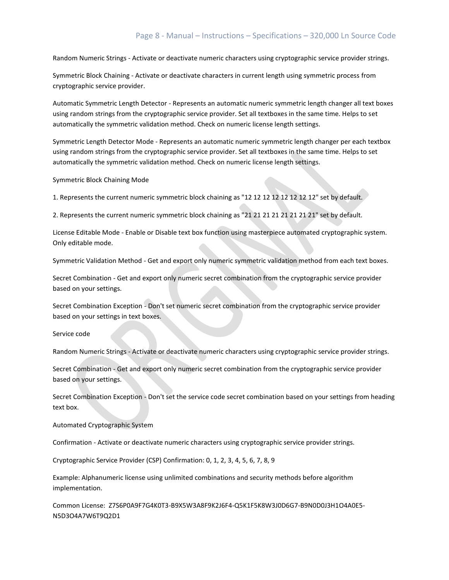# Page 8 - Manual – Instructions – Specifications – 320,000 Ln Source Code

Random Numeric Strings - Activate or deactivate numeric characters using cryptographic service provider strings.

Symmetric Block Chaining - Activate or deactivate characters in current length using symmetric process from cryptographic service provider.

Automatic Symmetric Length Detector - Represents an automatic numeric symmetric length changer all text boxes using random strings from the cryptographic service provider. Set all textboxes in the same time. Helps to set automatically the symmetric validation method. Check on numeric license length settings.

Symmetric Length Detector Mode - Represents an automatic numeric symmetric length changer per each textbox using random strings from the cryptographic service provider. Set all textboxes in the same time. Helps to set automatically the symmetric validation method. Check on numeric license length settings.

Symmetric Block Chaining Mode

1. Represents the current numeric symmetric block chaining as "12 12 12 12 12 12 12 12" set by default.

2. Represents the current numeric symmetric block chaining as "21 21 21 21 21 21 21 21" set by default.

License Editable Mode - Enable or Disable text box function using masterpiece automated cryptographic system. Only editable mode.

Symmetric Validation Method - Get and export only numeric symmetric validation method from each text boxes.

Secret Combination - Get and export only numeric secret combination from the cryptographic service provider based on your settings.

Secret Combination Exception - Don't set numeric secret combination from the cryptographic service provider based on your settings in text boxes.

Service code

Random Numeric Strings - Activate or deactivate numeric characters using cryptographic service provider strings.

Secret Combination - Get and export only numeric secret combination from the cryptographic service provider based on your settings.

Secret Combination Exception - Don't set the service code secret combination based on your settings from heading text box.

Automated Cryptographic System

Confirmation - Activate or deactivate numeric characters using cryptographic service provider strings.

Cryptographic Service Provider (CSP) Confirmation: 0, 1, 2, 3, 4, 5, 6, 7, 8, 9

Example: Alphanumeric license using unlimited combinations and security methods before algorithm implementation.

Common License: Z7S6P0A9F7G4K0T3-B9X5W3A8F9K2J6F4-Q5K1F5K8W3J0D6G7-B9N0D0J3H1O4A0E5- N5D3O4A7W6T9Q2D1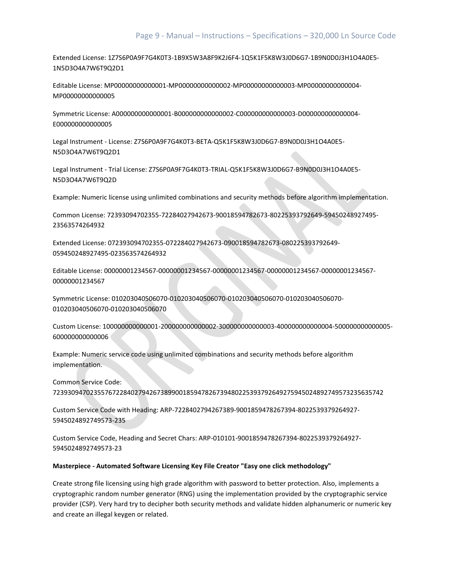Extended License: 1Z7S6P0A9F7G4K0T3-1B9X5W3A8F9K2J6F4-1Q5K1F5K8W3J0D6G7-1B9N0D0J3H1O4A0E5- 1N5D3O4A7W6T9Q2D1

Editable License: MP00000000000001-MP00000000000002-MP00000000000003-MP00000000000004- MP00000000000005

Symmetric License: A000000000000001-B000000000000002-C000000000000003-D000000000000004- E000000000000005

Legal Instrument - License: Z7S6P0A9F7G4K0T3-BETA-Q5K1F5K8W3J0D6G7-B9N0D0J3H1O4A0E5- N5D3O4A7W6T9Q2D1

Legal Instrument - Trial License: Z7S6P0A9F7G4K0T3-TRIAL-Q5K1F5K8W3J0D6G7-B9N0D0J3H1O4A0E5- N5D3O4A7W6T9Q2D

Example: Numeric license using unlimited combinations and security methods before algorithm implementation.

Common License: 72393094702355-72284027942673-90018594782673-80225393792649-59450248927495- 23563574264932

Extended License: 072393094702355-072284027942673-090018594782673-080225393792649- 059450248927495-023563574264932

Editable License: 00000001234567-00000001234567-00000001234567-00000001234567-00000001234567- 00000001234567

Symmetric License: 010203040506070-010203040506070-010203040506070-010203040506070- 010203040506070-010203040506070

Custom License: 100000000000001-200000000000002-300000000000003-400000000000004-500000000000005- 600000000000006

Example: Numeric service code using unlimited combinations and security methods before algorithm implementation.

Common Service Code:

72393094702355767228402794267389900185947826739480225393792649275945024892749573235635742

Custom Service Code with Heading: ARP-7228402794267389-9001859478267394-8022539379264927- 5945024892749573-235

Custom Service Code, Heading and Secret Chars: ARP-010101-9001859478267394-8022539379264927- 5945024892749573-23

## **Masterpiece - Automated Software Licensing Key File Creator "Easy one click methodology"**

Create strong file licensing using high grade algorithm with password to better protection. Also, implements a cryptographic random number generator (RNG) using the implementation provided by the cryptographic service provider (CSP). Very hard try to decipher both security methods and validate hidden alphanumeric or numeric key and create an illegal keygen or related.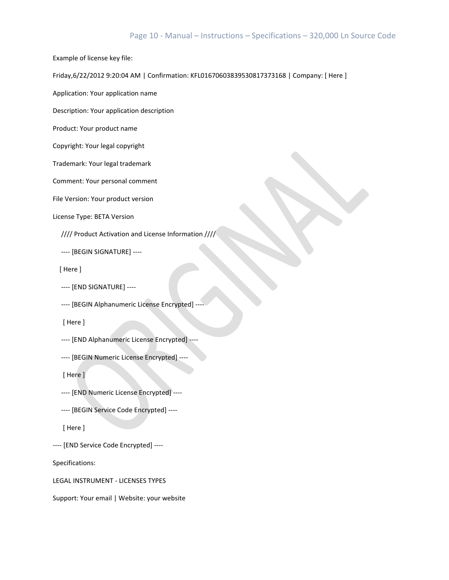## Page 10 - Manual – Instructions – Specifications – 320,000 Ln Source Code

Example of license key file:

Friday,6/22/2012 9:20:04 AM | Confirmation: KFL01670603839530817373168 | Company: [ Here ]

Application: Your application name

Description: Your application description

Product: Your product name

Copyright: Your legal copyright

Trademark: Your legal trademark

Comment: Your personal comment

File Version: Your product version

License Type: BETA Version

//// Product Activation and License Information ////

---- [BEGIN SIGNATURE] ----

[ Here ]

---- [END SIGNATURE] ----

---- [BEGIN Alphanumeric License Encrypted] ----

[ Here ]

---- [END Alphanumeric License Encrypted] ----

---- [BEGIN Numeric License Encrypted] ----

[ Here ]

---- [END Numeric License Encrypted] ----

---- [BEGIN Service Code Encrypted] ----

[ Here ]

---- [END Service Code Encrypted] ----

Specifications:

LEGAL INSTRUMENT - LICENSES TYPES

Support: Your email | Website: your website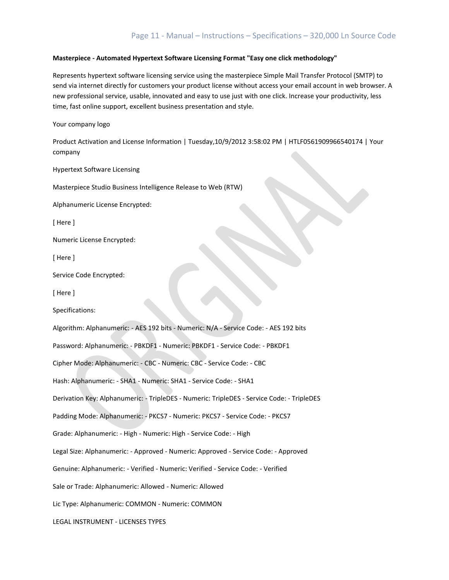## **Masterpiece - Automated Hypertext Software Licensing Format "Easy one click methodology"**

Represents hypertext software licensing service using the masterpiece Simple Mail Transfer Protocol (SMTP) to send via internet directly for customers your product license without access your email account in web browser. A new professional service, usable, innovated and easy to use just with one click. Increase your productivity, less time, fast online support, excellent business presentation and style.

Your company logo

Product Activation and License Information | Tuesday,10/9/2012 3:58:02 PM | HTLF0561909966540174 | Your company

Hypertext Software Licensing

Masterpiece Studio Business Intelligence Release to Web (RTW)

Alphanumeric License Encrypted:

[ Here ]

Numeric License Encrypted:

[ Here ]

Service Code Encrypted:

[ Here ]

Specifications:

Algorithm: Alphanumeric: - AES 192 bits - Numeric: N/A - Service Code: - AES 192 bits Password: Alphanumeric: - PBKDF1 - Numeric: PBKDF1 - Service Code: - PBKDF1 Cipher Mode: Alphanumeric: - CBC - Numeric: CBC - Service Code: - CBC Hash: Alphanumeric: - SHA1 - Numeric: SHA1 - Service Code: - SHA1 Derivation Key: Alphanumeric: - TripleDES - Numeric: TripleDES - Service Code: - TripleDES Padding Mode: Alphanumeric: - PKCS7 - Numeric: PKCS7 - Service Code: - PKCS7 Grade: Alphanumeric: - High - Numeric: High - Service Code: - High Legal Size: Alphanumeric: - Approved - Numeric: Approved - Service Code: - Approved Genuine: Alphanumeric: - Verified - Numeric: Verified - Service Code: - Verified Sale or Trade: Alphanumeric: Allowed - Numeric: Allowed Lic Type: Alphanumeric: COMMON - Numeric: COMMON LEGAL INSTRUMENT - LICENSES TYPES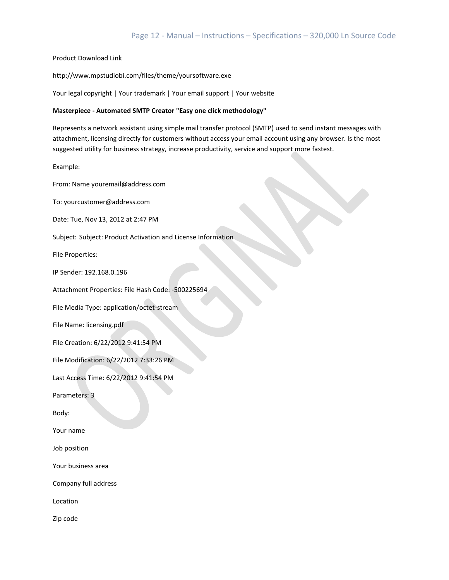Product Download Link

http://www.mpstudiobi.com/files/theme/yoursoftware.exe

Your legal copyright | Your trademark | Your email support | Your website

## **Masterpiece - Automated SMTP Creator "Easy one click methodology"**

Represents a network assistant using simple mail transfer protocol (SMTP) used to send instant messages with attachment, licensing directly for customers without access your email account using any browser. Is the most suggested utility for business strategy, increase productivity, service and support more fastest.

Example:

From: Name youremail@address.com

To: yourcustomer@address.com

Date: Tue, Nov 13, 2012 at 2:47 PM

Subject: Subject: Product Activation and License Information

File Properties:

IP Sender: 192.168.0.196

Attachment Properties: File Hash Code: -500225694

File Media Type: application/octet-stream

File Name: licensing.pdf

File Creation: 6/22/2012 9:41:54 PM

File Modification: 6/22/2012 7:33:26 PM

Last Access Time: 6/22/2012 9:41:54 PM

Parameters: 3

Body:

Your name

Job position

Your business area

Company full address

Location

Zip code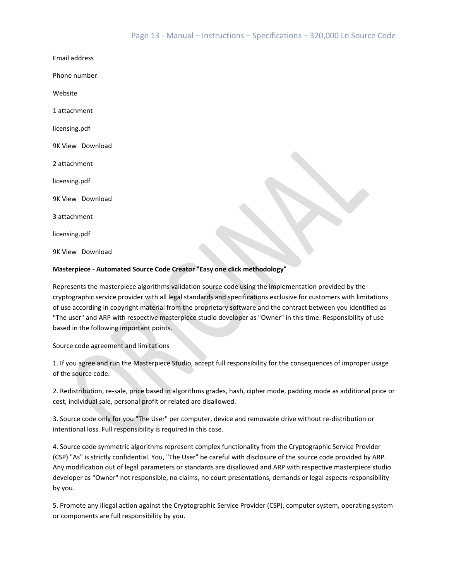Email address

Phone number

Website

1 attachment

licensing.pdf

9K View Download

2 attachment

licensing.pdf

9K View Download

3 attachment

licensing.pdf

9K View Download

## **Masterpiece - Automated Source Code Creator "Easy one click methodology"**

Represents the masterpiece algorithms validation source code using the implementation provided by the cryptographic service provider with all legal standards and specifications exclusive for customers with limitations of use according in copyright material from the proprietary software and the contract between you identified as "The user" and ARP with respective masterpiece studio developer as "Owner" in this time. Responsibility of use based in the following important points.

Source code agreement and limitations

1. If you agree and run the Masterpiece Studio, accept full responsibility for the consequences of improper usage of the source code.

2. Redistribution, re-sale, price based in algorithms grades, hash, cipher mode, padding mode as additional price or cost, individual sale, personal profit or related are disallowed.

3. Source code only for you "The User" per computer, device and removable drive without re-distribution or intentional loss. Full responsibility is required in this case.

4. Source code symmetric algorithms represent complex functionality from the Cryptographic Service Provider (CSP) "As" is strictly confidential. You, "The User" be careful with disclosure of the source code provided by ARP. Any modification out of legal parameters or standards are disallowed and ARP with respective masterpiece studio developer as "Owner" not responsible, no claims, no court presentations, demands or legal aspects responsibility by you.

5. Promote any illegal action against the Cryptographic Service Provider (CSP), computer system, operating system or components are full responsibility by you.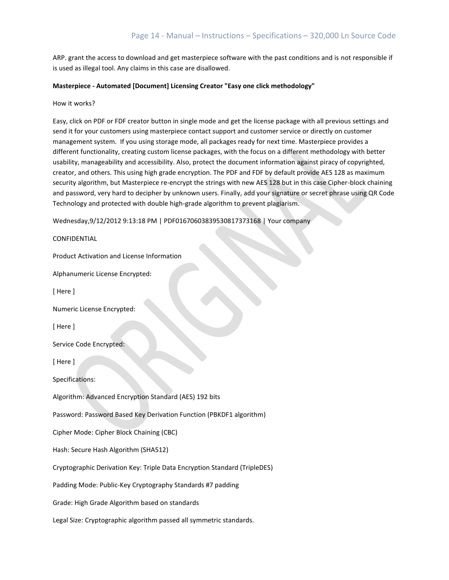ARP. grant the access to download and get masterpiece software with the past conditions and is not responsible if is used as illegal tool. Any claims in this case are disallowed.

#### **Masterpiece - Automated [Document] Licensing Creator "Easy one click methodology"**

How it works?

Easy, click on PDF or FDF creator button in single mode and get the license package with all previous settings and send it for your customers using masterpiece contact support and customer service or directly on customer management system. If you using storage mode, all packages ready for next time. Masterpiece provides a different functionality, creating custom license packages, with the focus on a different methodology with better usability, manageability and accessibility. Also, protect the document information against piracy of copyrighted, creator, and others. This using high grade encryption. The PDF and FDF by default provide AES 128 as maximum security algorithm, but Masterpiece re-encrypt the strings with new AES 128 but in this case Cipher-block chaining and password, very hard to decipher by unknown users. Finally, add your signature or secret phrase using QR Code Technology and protected with double high-grade algorithm to prevent plagiarism.

Wednesday,9/12/2012 9:13:18 PM | PDF01670603839530817373168 | Your company

CONFIDENTIAL

Product Activation and License Information

Alphanumeric License Encrypted:

[ Here ]

Numeric License Encrypted:

[ Here ]

Service Code Encrypted:

[ Here ]

Specifications:

Algorithm: Advanced Encryption Standard (AES) 192 bits

Password: Password Based Key Derivation Function (PBKDF1 algorithm)

Cipher Mode: Cipher Block Chaining (CBC)

Hash: Secure Hash Algorithm (SHA512)

Cryptographic Derivation Key: Triple Data Encryption Standard (TripleDES)

Padding Mode: Public-Key Cryptography Standards #7 padding

Grade: High Grade Algorithm based on standards

Legal Size: Cryptographic algorithm passed all symmetric standards.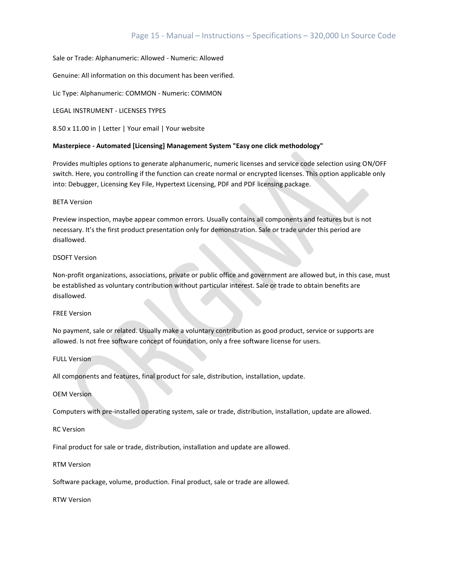## Sale or Trade: Alphanumeric: Allowed - Numeric: Allowed

Genuine: All information on this document has been verified.

Lic Type: Alphanumeric: COMMON - Numeric: COMMON

LEGAL INSTRUMENT - LICENSES TYPES

8.50 x 11.00 in | Letter | Your email | Your website

## **Masterpiece - Automated [Licensing] Management System "Easy one click methodology"**

Provides multiples options to generate alphanumeric, numeric licenses and service code selection using ON/OFF switch. Here, you controlling if the function can create normal or encrypted licenses. This option applicable only into: Debugger, Licensing Key File, Hypertext Licensing, PDF and PDF licensing package.

## BETA Version

Preview inspection, maybe appear common errors. Usually contains all components and features but is not necessary. It's the first product presentation only for demonstration. Sale or trade under this period are disallowed.

## DSOFT Version

Non-profit organizations, associations, private or public office and government are allowed but, in this case, must be established as voluntary contribution without particular interest. Sale or trade to obtain benefits are disallowed.

## FREE Version

No payment, sale or related. Usually make a voluntary contribution as good product, service or supports are allowed. Is not free software concept of foundation, only a free software license for users.

## FULL Version

All components and features, final product for sale, distribution, installation, update.

## OEM Version

Computers with pre-installed operating system, sale or trade, distribution, installation, update are allowed.

## RC Version

Final product for sale or trade, distribution, installation and update are allowed.

## RTM Version

Software package, volume, production. Final product, sale or trade are allowed.

RTW Version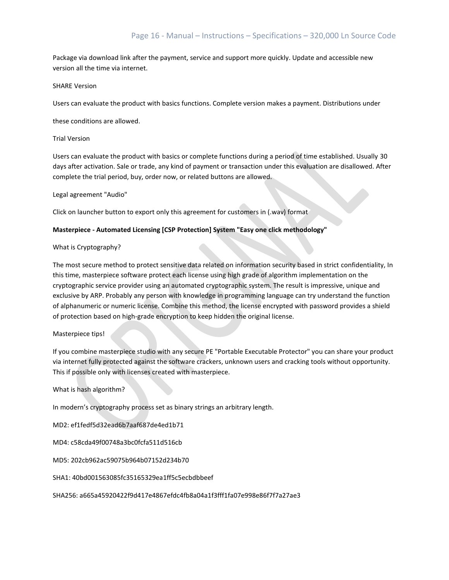Package via download link after the payment, service and support more quickly. Update and accessible new version all the time via internet.

## SHARE Version

Users can evaluate the product with basics functions. Complete version makes a payment. Distributions under

these conditions are allowed.

## Trial Version

Users can evaluate the product with basics or complete functions during a period of time established. Usually 30 days after activation. Sale or trade, any kind of payment or transaction under this evaluation are disallowed. After complete the trial period, buy, order now, or related buttons are allowed.

## Legal agreement "Audio"

Click on launcher button to export only this agreement for customers in (.wav) format

## **Masterpiece - Automated Licensing [CSP Protection] System "Easy one click methodology"**

## What is Cryptography?

The most secure method to protect sensitive data related on information security based in strict confidentiality, In this time, masterpiece software protect each license using high grade of algorithm implementation on the cryptographic service provider using an automated cryptographic system. The result is impressive, unique and exclusive by ARP. Probably any person with knowledge in programming language can try understand the function of alphanumeric or numeric license. Combine this method, the license encrypted with password provides a shield of protection based on high-grade encryption to keep hidden the original license.

## Masterpiece tips!

If you combine masterpiece studio with any secure PE "Portable Executable Protector" you can share your product via internet fully protected against the software crackers, unknown users and cracking tools without opportunity. This if possible only with licenses created with masterpiece.

## What is hash algorithm?

In modern's cryptography process set as binary strings an arbitrary length.

MD2: ef1fedf5d32ead6b7aaf687de4ed1b71

MD4: c58cda49f00748a3bc0fcfa511d516cb

MD5: 202cb962ac59075b964b07152d234b70

SHA1: 40bd001563085fc35165329ea1ff5c5ecbdbbeef

SHA256: a665a45920422f9d417e4867efdc4fb8a04a1f3fff1fa07e998e86f7f7a27ae3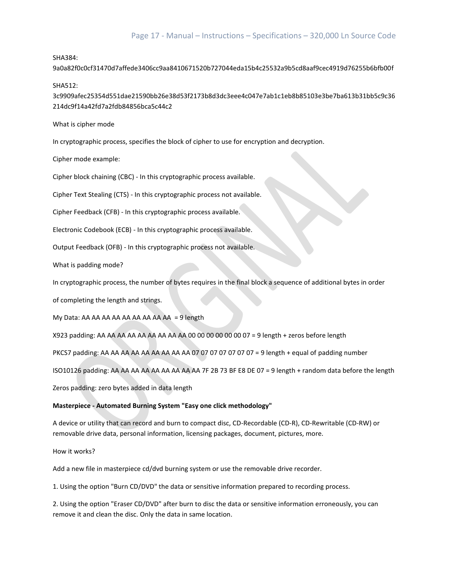## SHA384:

9a0a82f0c0cf31470d7affede3406cc9aa8410671520b727044eda15b4c25532a9b5cd8aaf9cec4919d76255b6bfb00f

SHA512:

3c9909afec25354d551dae21590bb26e38d53f2173b8d3dc3eee4c047e7ab1c1eb8b85103e3be7ba613b31bb5c9c36 214dc9f14a42fd7a2fdb84856bca5c44c2

What is cipher mode

In cryptographic process, specifies the block of cipher to use for encryption and decryption.

Cipher mode example:

Cipher block chaining (CBC) - In this cryptographic process available.

Cipher Text Stealing (CTS) - In this cryptographic process not available.

Cipher Feedback (CFB) - In this cryptographic process available.

Electronic Codebook (ECB) - In this cryptographic process available.

Output Feedback (OFB) - In this cryptographic process not available.

What is padding mode?

In cryptographic process, the number of bytes requires in the final block a sequence of additional bytes in order

of completing the length and strings.

My Data: AA AA AA AA AA AA AA AA  $AA = 9$  length

X923 padding: AA AA AA AA AA AA AA AA AA 00 00 00 00 00 00 07 = 9 length + zeros before length

PKCS7 padding: AA AA AA AA AA AA AA AA AA O7 07 07 07 07 07 07 07 = 9 length + equal of padding number

ISO10126 padding: AA AA AA AA AA AA AA AA AA 7F 2B 73 BF E8 DE 07 = 9 length + random data before the length

Zeros padding: zero bytes added in data length

## **Masterpiece - Automated Burning System "Easy one click methodology"**

A device or utility that can record and burn to compact disc, CD-Recordable (CD-R), CD-Rewritable (CD-RW) or removable drive data, personal information, licensing packages, document, pictures, more.

How it works?

Add a new file in masterpiece cd/dvd burning system or use the removable drive recorder.

1. Using the option "Burn CD/DVD" the data or sensitive information prepared to recording process.

2. Using the option "Eraser CD/DVD" after burn to disc the data or sensitive information erroneously, you can remove it and clean the disc. Only the data in same location.